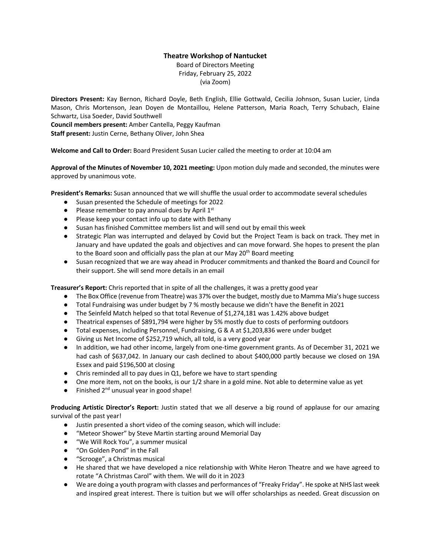## **Theatre Workshop of Nantucket**

Board of Directors Meeting Friday, February 25, 2022 (via Zoom)

**Directors Present:** Kay Bernon, Richard Doyle, Beth English, Ellie Gottwald, Cecilia Johnson, Susan Lucier, Linda Mason, Chris Mortenson, Jean Doyen de Montaillou, Helene Patterson, Maria Roach, Terry Schubach, Elaine Schwartz, Lisa Soeder, David Southwell

**Council members present:** Amber Cantella, Peggy Kaufman

**Staff present:** Justin Cerne, Bethany Oliver, John Shea

**Welcome and Call to Order:** Board President Susan Lucier called the meeting to order at 10:04 am

**Approval of the Minutes of November 10, 2021 meeting:** Upon motion duly made and seconded, the minutes were approved by unanimous vote.

**President's Remarks:** Susan announced that we will shuffle the usual order to accommodate several schedules

- Susan presented the Schedule of meetings for 2022
- Please remember to pay annual dues by April  $1<sup>st</sup>$
- Please keep your contact info up to date with Bethany
- Susan has finished Committee members list and will send out by email this week
- Strategic Plan was interrupted and delayed by Covid but the Project Team is back on track. They met in January and have updated the goals and objectives and can move forward. She hopes to present the plan to the Board soon and officially pass the plan at our May 20<sup>th</sup> Board meeting
- Susan recognized that we are way ahead in Producer commitments and thanked the Board and Council for their support. She will send more details in an email

**Treasurer's Report:** Chris reported that in spite of all the challenges, it was a pretty good year

- The Box Office (revenue from Theatre) was 37% over the budget, mostly due to Mamma Mia's huge success
- Total Fundraising was under budget by 7 % mostly because we didn't have the Benefit in 2021
- The Seinfeld Match helped so that total Revenue of \$1,274,181 was 1.42% above budget
- Theatrical expenses of \$891,794 were higher by 5% mostly due to costs of performing outdoors
- Total expenses, including Personnel, Fundraising, G & A at \$1,203,836 were under budget
- Giving us Net Income of \$252,719 which, all told, is a very good year
- In addition, we had other income, largely from one-time government grants. As of December 31, 2021 we had cash of \$637,042. In January our cash declined to about \$400,000 partly because we closed on 19A Essex and paid \$196,500 at closing
- Chris reminded all to pay dues in Q1, before we have to start spending
- One more item, not on the books, is our 1/2 share in a gold mine. Not able to determine value as yet
- Finished 2<sup>nd</sup> unusual year in good shape!

**Producing Artistic Director's Report:** Justin stated that we all deserve a big round of applause for our amazing survival of the past year!

- Justin presented a short video of the coming season, which will include:
- "Meteor Shower" by Steve Martin starting around Memorial Day
- "We Will Rock You", a summer musical
- "On Golden Pond" in the Fall
- "Scrooge", a Christmas musical
- He shared that we have developed a nice relationship with White Heron Theatre and we have agreed to rotate "A Christmas Carol" with them. We will do it in 2023
- We are doing a youth program with classes and performances of "Freaky Friday". He spoke at NHS last week and inspired great interest. There is tuition but we will offer scholarships as needed. Great discussion on